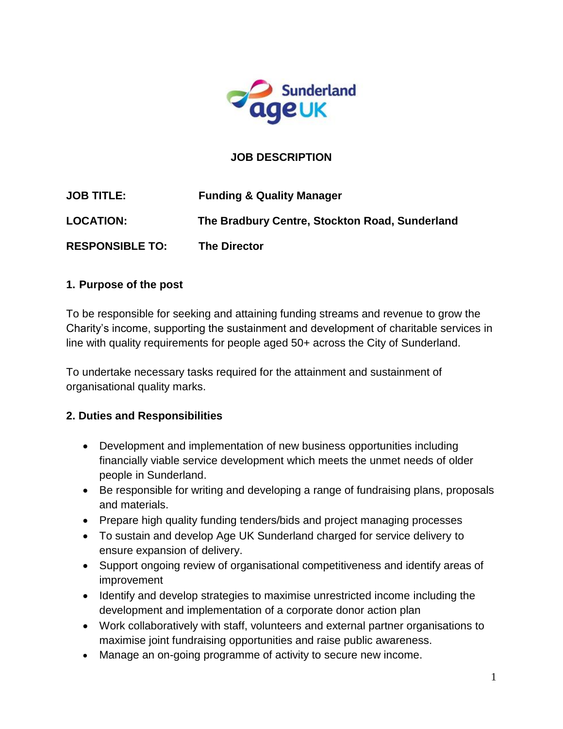

## **JOB DESCRIPTION**

| <b>JOB TITLE:</b>      | <b>Funding &amp; Quality Manager</b>           |
|------------------------|------------------------------------------------|
| <b>LOCATION:</b>       | The Bradbury Centre, Stockton Road, Sunderland |
| <b>RESPONSIBLE TO:</b> | <b>The Director</b>                            |

## **1. Purpose of the post**

To be responsible for seeking and attaining funding streams and revenue to grow the Charity's income, supporting the sustainment and development of charitable services in line with quality requirements for people aged 50+ across the City of Sunderland.

To undertake necessary tasks required for the attainment and sustainment of organisational quality marks.

## **2. Duties and Responsibilities**

- Development and implementation of new business opportunities including financially viable service development which meets the unmet needs of older people in Sunderland.
- Be responsible for writing and developing a range of fundraising plans, proposals and materials.
- Prepare high quality funding tenders/bids and project managing processes
- To sustain and develop Age UK Sunderland charged for service delivery to ensure expansion of delivery.
- Support ongoing review of organisational competitiveness and identify areas of improvement
- Identify and develop strategies to maximise unrestricted income including the development and implementation of a corporate donor action plan
- Work collaboratively with staff, volunteers and external partner organisations to maximise joint fundraising opportunities and raise public awareness.
- Manage an on-going programme of activity to secure new income.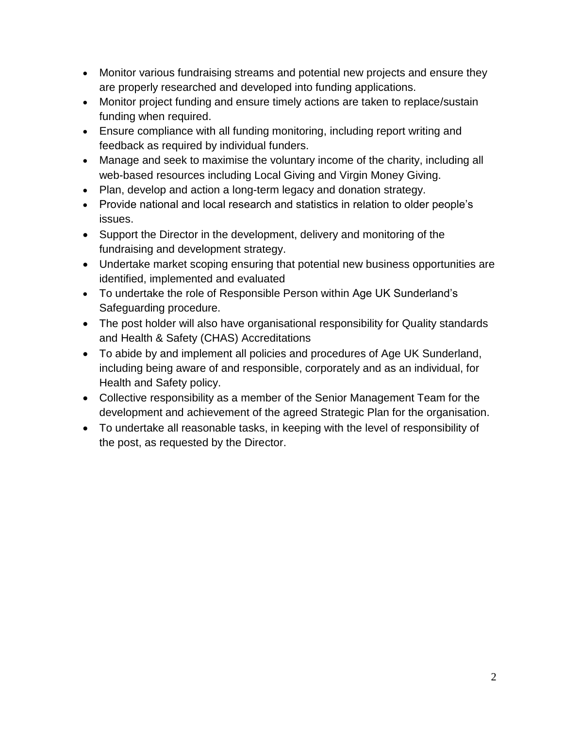- Monitor various fundraising streams and potential new projects and ensure they are properly researched and developed into funding applications.
- Monitor project funding and ensure timely actions are taken to replace/sustain funding when required.
- Ensure compliance with all funding monitoring, including report writing and feedback as required by individual funders.
- Manage and seek to maximise the voluntary income of the charity, including all web-based resources including Local Giving and Virgin Money Giving.
- Plan, develop and action a long-term legacy and donation strategy.
- Provide national and local research and statistics in relation to older people's issues.
- Support the Director in the development, delivery and monitoring of the fundraising and development strategy.
- Undertake market scoping ensuring that potential new business opportunities are identified, implemented and evaluated
- To undertake the role of Responsible Person within Age UK Sunderland's Safeguarding procedure.
- The post holder will also have organisational responsibility for Quality standards and Health & Safety (CHAS) Accreditations
- To abide by and implement all policies and procedures of Age UK Sunderland, including being aware of and responsible, corporately and as an individual, for Health and Safety policy.
- Collective responsibility as a member of the Senior Management Team for the development and achievement of the agreed Strategic Plan for the organisation.
- To undertake all reasonable tasks, in keeping with the level of responsibility of the post, as requested by the Director.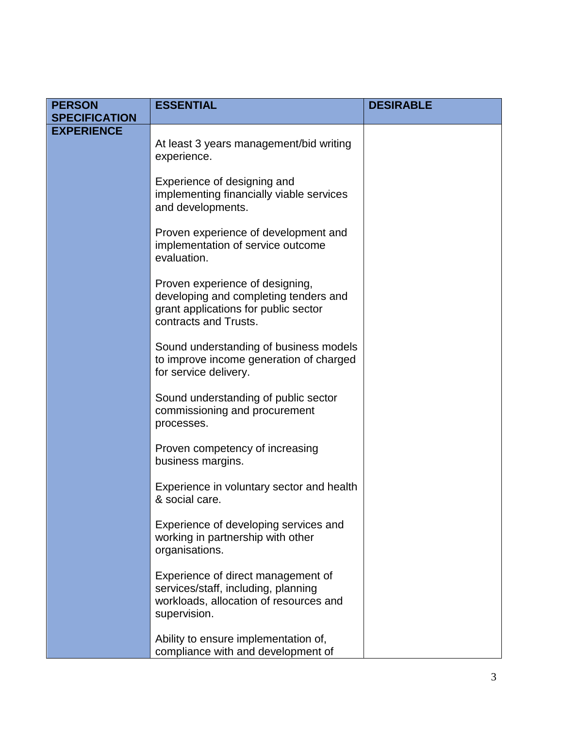| <b>PERSON</b><br><b>SPECIFICATION</b> | <b>ESSENTIAL</b>                                                                                                                          | <b>DESIRABLE</b> |
|---------------------------------------|-------------------------------------------------------------------------------------------------------------------------------------------|------------------|
| <b>EXPERIENCE</b>                     |                                                                                                                                           |                  |
|                                       | At least 3 years management/bid writing<br>experience.                                                                                    |                  |
|                                       | Experience of designing and<br>implementing financially viable services<br>and developments.                                              |                  |
|                                       | Proven experience of development and<br>implementation of service outcome<br>evaluation.                                                  |                  |
|                                       | Proven experience of designing,<br>developing and completing tenders and<br>grant applications for public sector<br>contracts and Trusts. |                  |
|                                       | Sound understanding of business models<br>to improve income generation of charged<br>for service delivery.                                |                  |
|                                       | Sound understanding of public sector<br>commissioning and procurement<br>processes.                                                       |                  |
|                                       | Proven competency of increasing<br>business margins.                                                                                      |                  |
|                                       | Experience in voluntary sector and health<br>& social care.                                                                               |                  |
|                                       | Experience of developing services and<br>working in partnership with other<br>organisations.                                              |                  |
|                                       | Experience of direct management of<br>services/staff, including, planning<br>workloads, allocation of resources and<br>supervision.       |                  |
|                                       | Ability to ensure implementation of,<br>compliance with and development of                                                                |                  |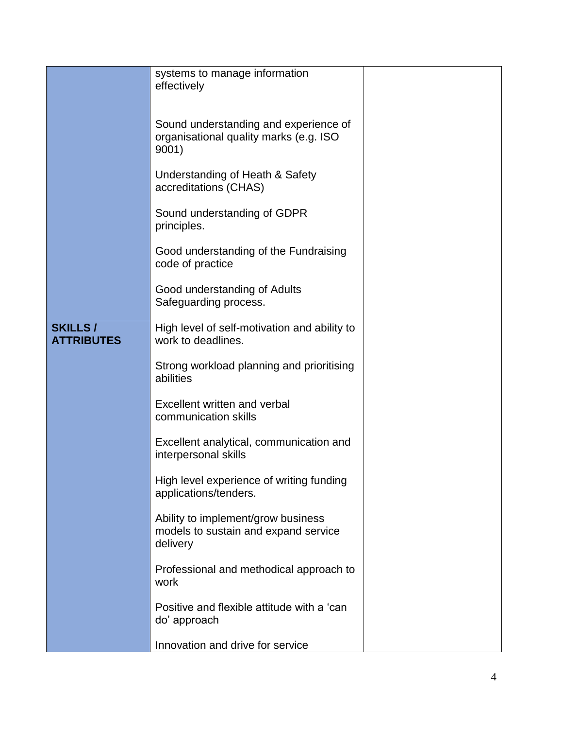|                                     | systems to manage information<br>effectively                                             |  |
|-------------------------------------|------------------------------------------------------------------------------------------|--|
|                                     | Sound understanding and experience of<br>organisational quality marks (e.g. ISO<br>9001) |  |
|                                     | Understanding of Heath & Safety<br>accreditations (CHAS)                                 |  |
|                                     | Sound understanding of GDPR<br>principles.                                               |  |
|                                     | Good understanding of the Fundraising<br>code of practice                                |  |
|                                     | Good understanding of Adults<br>Safeguarding process.                                    |  |
| <b>SKILLS/</b><br><b>ATTRIBUTES</b> | High level of self-motivation and ability to<br>work to deadlines.                       |  |
|                                     | Strong workload planning and prioritising<br>abilities                                   |  |
|                                     | Excellent written and verbal<br>communication skills                                     |  |
|                                     | Excellent analytical, communication and<br>interpersonal skills                          |  |
|                                     | High level experience of writing funding<br>applications/tenders.                        |  |
|                                     | Ability to implement/grow business<br>models to sustain and expand service<br>delivery   |  |
|                                     | Professional and methodical approach to<br>work                                          |  |
|                                     | Positive and flexible attitude with a 'can<br>do' approach                               |  |
|                                     | Innovation and drive for service                                                         |  |